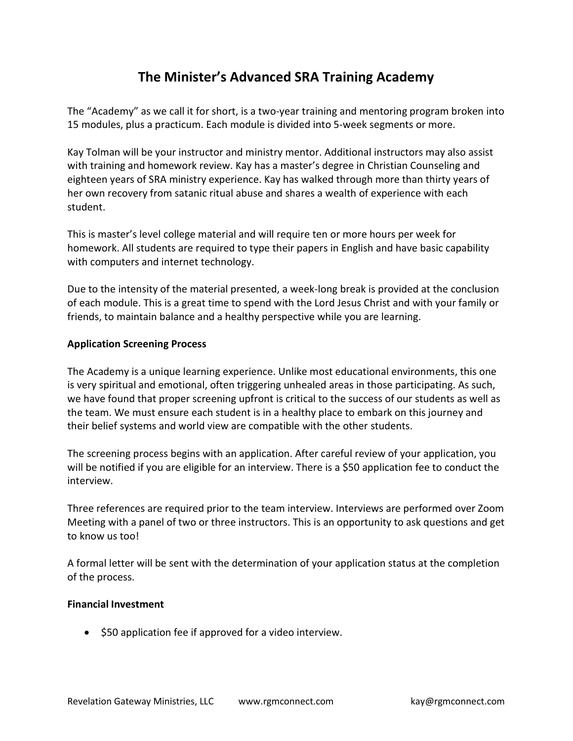# The Minister's Advanced SRA Training Academy

The "Academy" as we call it for short, is a two-year training and mentoring program broken into 15 modules, plus a practicum. Each module is divided into 5-week segments or more.

Kay Tolman will be your instructor and ministry mentor. Additional instructors may also assist with training and homework review. Kay has a master's degree in Christian Counseling and eighteen years of SRA ministry experience. Kay has walked through more than thirty years of her own recovery from satanic ritual abuse and shares a wealth of experience with each student.

This is master's level college material and will require ten or more hours per week for homework. All students are required to type their papers in English and have basic capability with computers and internet technology.

Due to the intensity of the material presented, a week-long break is provided at the conclusion of each module. This is a great time to spend with the Lord Jesus Christ and with your family or friends, to maintain balance and a healthy perspective while you are learning.

# Application Screening Process

The Academy is a unique learning experience. Unlike most educational environments, this one is very spiritual and emotional, often triggering unhealed areas in those participating. As such, we have found that proper screening upfront is critical to the success of our students as well as the team. We must ensure each student is in a healthy place to embark on this journey and their belief systems and world view are compatible with the other students.

The screening process begins with an application. After careful review of your application, you will be notified if you are eligible for an interview. There is a \$50 application fee to conduct the interview.

Three references are required prior to the team interview. Interviews are performed over Zoom Meeting with a panel of two or three instructors. This is an opportunity to ask questions and get to know us too!

A formal letter will be sent with the determination of your application status at the completion of the process.

#### Financial Investment

• \$50 application fee if approved for a video interview.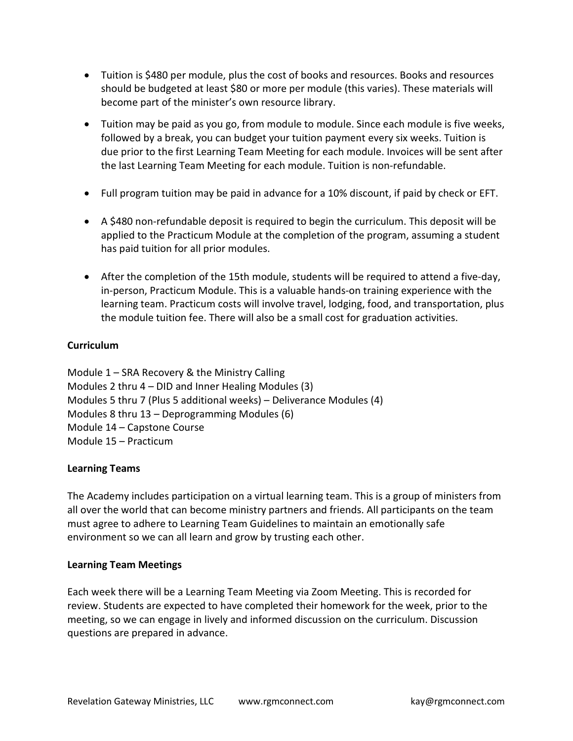- Tuition is \$480 per module, plus the cost of books and resources. Books and resources should be budgeted at least \$80 or more per module (this varies). These materials will become part of the minister's own resource library.
- Tuition may be paid as you go, from module to module. Since each module is five weeks, followed by a break, you can budget your tuition payment every six weeks. Tuition is due prior to the first Learning Team Meeting for each module. Invoices will be sent after the last Learning Team Meeting for each module. Tuition is non-refundable.
- Full program tuition may be paid in advance for a 10% discount, if paid by check or EFT.
- A \$480 non-refundable deposit is required to begin the curriculum. This deposit will be applied to the Practicum Module at the completion of the program, assuming a student has paid tuition for all prior modules.
- After the completion of the 15th module, students will be required to attend a five-day, in-person, Practicum Module. This is a valuable hands-on training experience with the learning team. Practicum costs will involve travel, lodging, food, and transportation, plus the module tuition fee. There will also be a small cost for graduation activities.

# Curriculum

Module 1 – SRA Recovery & the Ministry Calling Modules 2 thru 4 – DID and Inner Healing Modules (3) Modules 5 thru 7 (Plus 5 additional weeks) – Deliverance Modules (4) Modules 8 thru 13 – Deprogramming Modules (6) Module 14 – Capstone Course Module 15 – Practicum

# Learning Teams

The Academy includes participation on a virtual learning team. This is a group of ministers from all over the world that can become ministry partners and friends. All participants on the team must agree to adhere to Learning Team Guidelines to maintain an emotionally safe environment so we can all learn and grow by trusting each other.

#### Learning Team Meetings

Each week there will be a Learning Team Meeting via Zoom Meeting. This is recorded for review. Students are expected to have completed their homework for the week, prior to the meeting, so we can engage in lively and informed discussion on the curriculum. Discussion questions are prepared in advance.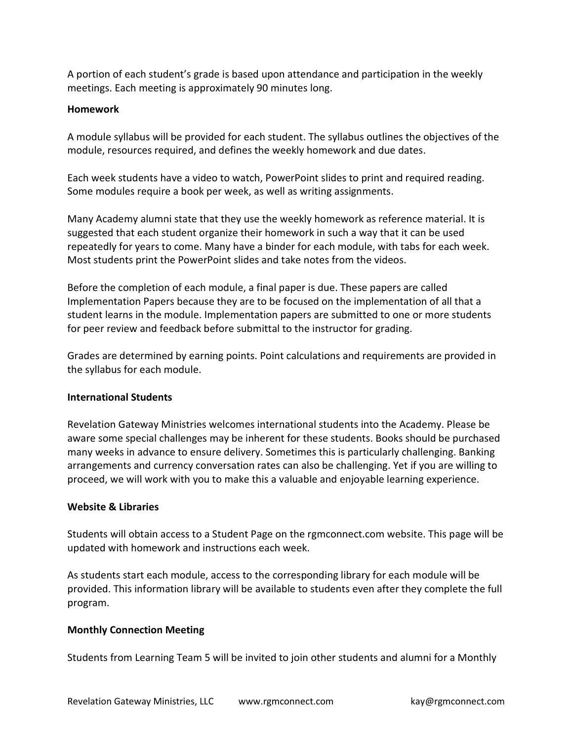A portion of each student's grade is based upon attendance and participation in the weekly meetings. Each meeting is approximately 90 minutes long.

## Homework

A module syllabus will be provided for each student. The syllabus outlines the objectives of the module, resources required, and defines the weekly homework and due dates.

Each week students have a video to watch, PowerPoint slides to print and required reading. Some modules require a book per week, as well as writing assignments.

Many Academy alumni state that they use the weekly homework as reference material. It is suggested that each student organize their homework in such a way that it can be used repeatedly for years to come. Many have a binder for each module, with tabs for each week. Most students print the PowerPoint slides and take notes from the videos.

Before the completion of each module, a final paper is due. These papers are called Implementation Papers because they are to be focused on the implementation of all that a student learns in the module. Implementation papers are submitted to one or more students for peer review and feedback before submittal to the instructor for grading.

Grades are determined by earning points. Point calculations and requirements are provided in the syllabus for each module.

# International Students

Revelation Gateway Ministries welcomes international students into the Academy. Please be aware some special challenges may be inherent for these students. Books should be purchased many weeks in advance to ensure delivery. Sometimes this is particularly challenging. Banking arrangements and currency conversation rates can also be challenging. Yet if you are willing to proceed, we will work with you to make this a valuable and enjoyable learning experience.

# Website & Libraries

Students will obtain access to a Student Page on the rgmconnect.com website. This page will be updated with homework and instructions each week.

As students start each module, access to the corresponding library for each module will be provided. This information library will be available to students even after they complete the full program.

# Monthly Connection Meeting

Students from Learning Team 5 will be invited to join other students and alumni for a Monthly